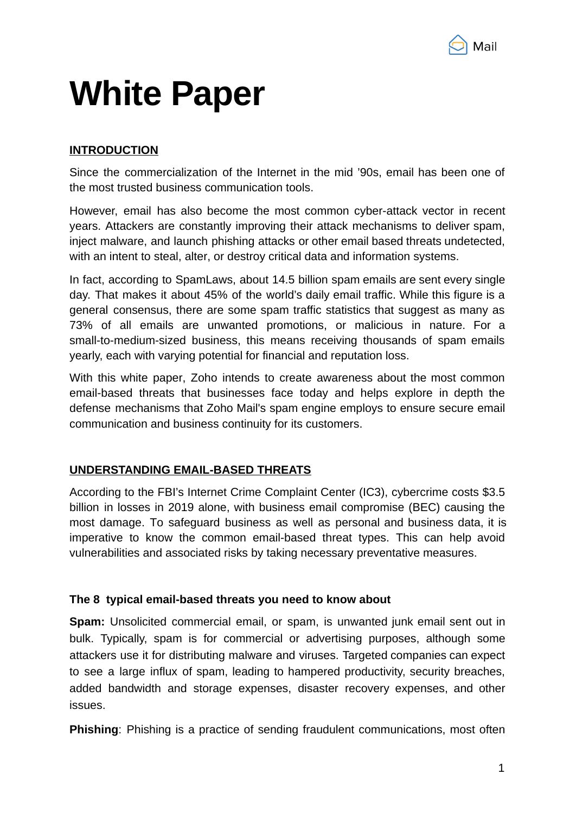

# **White Paper**

# **INTRODUCTION**

Since the commercialization of the Internet in the mid '90s, email has been one of the most trusted business communication tools.

However, email has also become the most common cyber-attack vector in recent years. Attackers are constantly improving their attack mechanisms to deliver spam, inject malware, and launch phishing attacks or other email based threats undetected, with an intent to steal, alter, or destroy critical data and information systems.

In fact, according to SpamLaws, about 14.5 billion spam emails are sent every single day. That makes it about 45% of the world's daily email traffic. While this figure is a general consensus, there are some spam traffic statistics that suggest as many as 73% of all emails are unwanted promotions, or malicious in nature. For a small-to-medium-sized business, this means receiving thousands of spam emails yearly, each with varying potential for financial and reputation loss.

With this white paper, Zoho intends to create awareness about the most common email-based threats that businesses face today and helps explore in depth the defense mechanisms that Zoho Mail's spam engine employs to ensure secure email communication and business continuity for its customers.

# **UNDERSTANDING EMAIL-BASED THREATS**

According to the FBI's Internet Crime Complaint Center (IC3), cybercrime costs \$3.5 billion in losses in 2019 alone, with business email compromise (BEC) causing the most damage. To safeguard business as well as personal and business data, it is imperative to know the common email-based threat types. This can help avoid vulnerabilities and associated risks by taking necessary preventative measures.

#### **The 8 typical email-based threats you need to know about**

**Spam:** Unsolicited commercial email, or spam, is unwanted junk email sent out in bulk. Typically, spam is for commercial or advertising purposes, although some attackers use it for distributing malware and viruses. Targeted companies can expect to see a large influx of spam, leading to hampered productivity, security breaches, added bandwidth and storage expenses, disaster recovery expenses, and other issues.

**Phishing**: Phishing is a practice of sending fraudulent communications, most often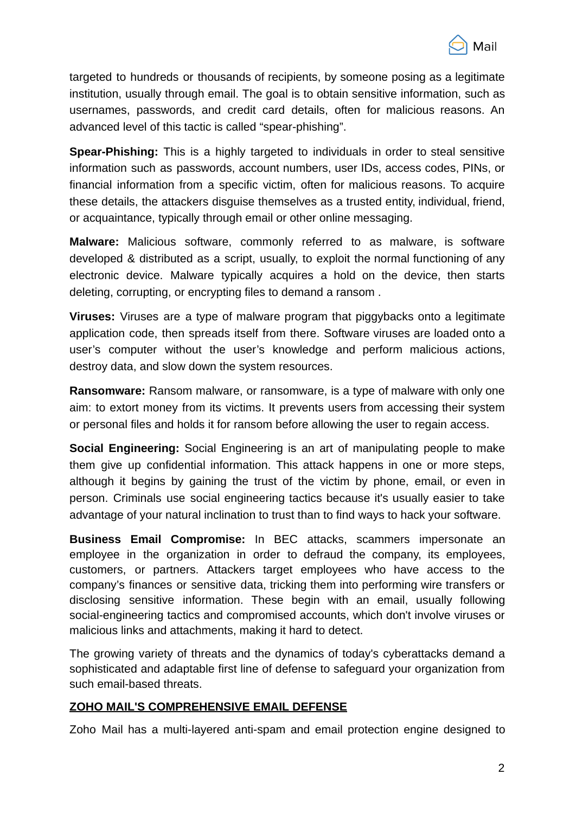

targeted to hundreds or thousands of recipients, by someone posing as a legitimate institution, usually through email. The goal is to obtain sensitive information, such as usernames, passwords, and credit card details, often for malicious reasons. An advanced level of this tactic is called "spear-phishing".

**Spear-Phishing:** This is a highly targeted to individuals in order to steal sensitive information such as passwords, account numbers, user IDs, access codes, PINs, or financial information from a specific victim, often for malicious reasons. To acquire these details, the attackers disguise themselves as a trusted entity, individual, friend, or acquaintance, typically through email or other online messaging.

**Malware:** Malicious software, commonly referred to as malware, is software developed & distributed as a script, usually, to exploit the normal functioning of any electronic device. Malware typically acquires a hold on the device, then starts deleting, corrupting, or encrypting files to demand a ransom .

**Viruses:** Viruses are a type of malware program that piggybacks onto a legitimate application code, then spreads itself from there. Software viruses are loaded onto a user's computer without the user's knowledge and perform malicious actions, destroy data, and slow down the system resources.

**Ransomware:** Ransom malware, or ransomware, is a type of malware with only one aim: to extort money from its victims. It prevents users from accessing their system or personal files and holds it for ransom before allowing the user to regain access.

**Social Engineering:** Social Engineering is an art of manipulating people to make them give up confidential information. This attack happens in one or more steps, although it begins by gaining the trust of the victim by phone, email, or even in person. Criminals use social engineering tactics because it's usually easier to take advantage of your natural inclination to trust than to find ways to hack your software.

**Business Email Compromise:** In BEC attacks, scammers impersonate an employee in the organization in order to defraud the company, its employees, customers, or partners. Attackers target employees who have access to the company's finances or sensitive data, tricking them into performing wire transfers or disclosing sensitive information. These begin with an email, usually following social-engineering tactics and compromised accounts, which don't involve viruses or malicious links and attachments, making it hard to detect.

The growing variety of threats and the dynamics of today's cyberattacks demand a sophisticated and adaptable first line of defense to safeguard your organization from such email-based threats.

#### **ZOHO MAIL'S COMPREHENSIVE EMAIL DEFENSE**

Zoho Mail has a multi-layered anti-spam and email protection engine designed to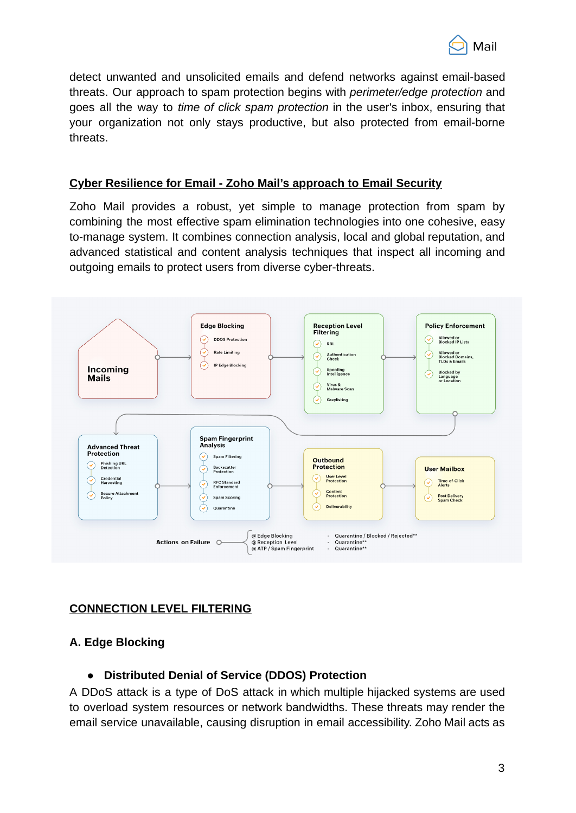

detect unwanted and unsolicited emails and defend networks against email-based threats. Our approach to spam protection begins with *perimeter/edge protection* and goes all the way to *time of click spam protection* in the user's inbox, ensuring that your organization not only stays productive, but also protected from email-borne threats.

### **Cyber Resilience for Email - Zoho Mail's approach to Email Security**

Zoho Mail provides a robust, yet simple to manage protection from spam by combining the most effective spam elimination technologies into one cohesive, easy to-manage system. It combines connection analysis, local and global reputation, and advanced statistical and content analysis techniques that inspect all incoming and outgoing emails to protect users from diverse cyber-threats.



# **CONNECTION LEVEL FILTERING**

# **A. Edge Blocking**

# ● **Distributed Denial of Service (DDOS) Protection**

A DDoS attack is a type of DoS attack in which multiple hijacked systems are used to overload system resources or network bandwidths. These threats may render the email service unavailable, causing disruption in email accessibility. Zoho Mail acts as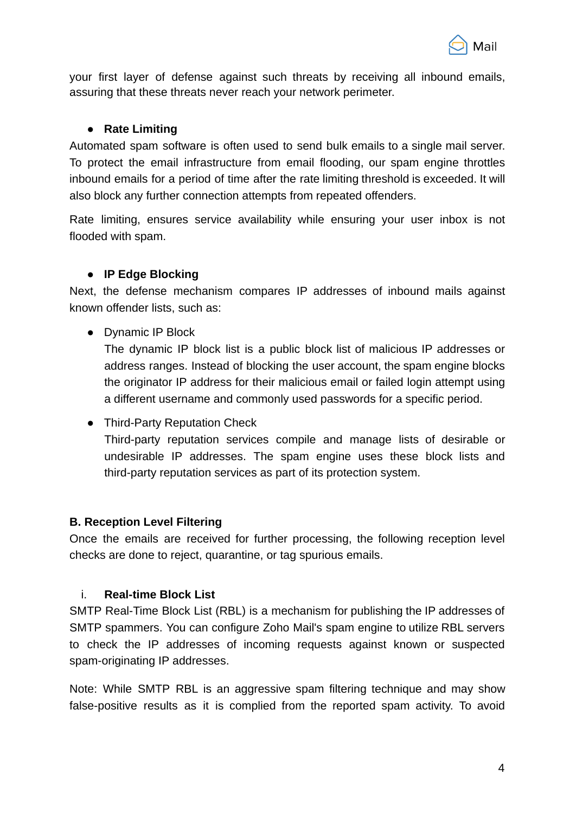

your first layer of defense against such threats by receiving all inbound emails, assuring that these threats never reach your network perimeter.

## ● **Rate Limiting**

Automated spam software is often used to send bulk emails to a single mail server. To protect the email infrastructure from email flooding, our spam engine throttles inbound emails for a period of time after the rate limiting threshold is exceeded. It will also block any further connection attempts from repeated offenders.

Rate limiting, ensures service availability while ensuring your user inbox is not flooded with spam.

## ● **IP Edge Blocking**

Next, the defense mechanism compares IP addresses of inbound mails against known offender lists, such as:

● Dynamic IP Block

The dynamic IP block list is a public block list of malicious IP addresses or address ranges. Instead of blocking the user account, the spam engine blocks the originator IP address for their malicious email or failed login attempt using a different username and commonly used passwords for a specific period.

● Third-Party Reputation Check

Third-party reputation services compile and manage lists of desirable or undesirable IP addresses. The spam engine uses these block lists and third-party reputation services as part of its protection system.

#### **B. Reception Level Filtering**

Once the emails are received for further processing, the following reception level checks are done to reject, quarantine, or tag spurious emails.

#### i. **Real-time Block List**

SMTP Real-Time Block List (RBL) is a mechanism for publishing the IP addresses of SMTP spammers. You can configure Zoho Mail's spam engine to utilize RBL servers to check the IP addresses of incoming requests against known or suspected spam-originating IP addresses.

Note: While SMTP RBL is an aggressive spam filtering technique and may show false-positive results as it is complied from the reported spam activity. To avoid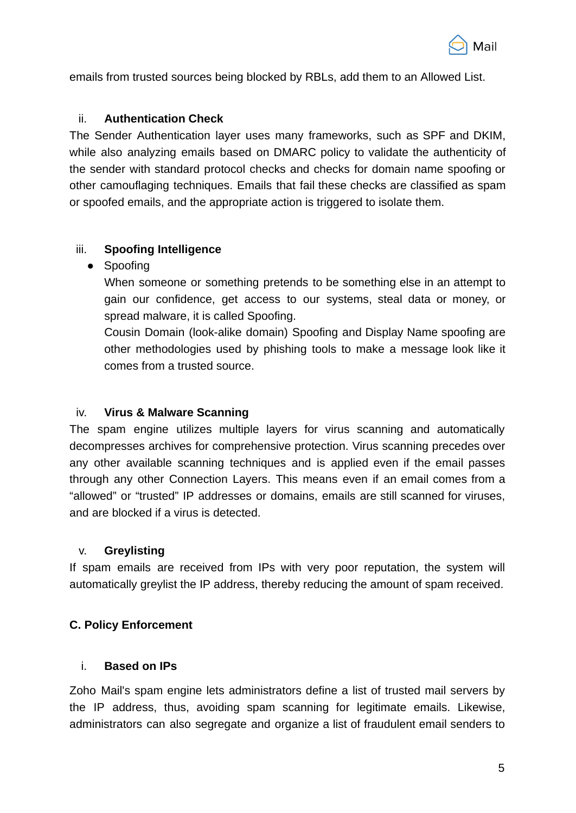

emails from trusted sources being blocked by RBLs, add them to an Allowed List.

## ii. **Authentication Check**

The Sender Authentication layer uses many frameworks, such as SPF and DKIM, while also analyzing emails based on DMARC policy to validate the authenticity of the sender with standard protocol checks and checks for domain name spoofing or other camouflaging techniques. Emails that fail these checks are classified as spam or spoofed emails, and the appropriate action is triggered to isolate them.

# iii. **Spoofing Intelligence**

● Spoofing

When someone or something pretends to be something else in an attempt to gain our confidence, get access to our systems, steal data or money, or spread malware, it is called Spoofing.

Cousin Domain (look-alike domain) Spoofing and Display Name spoofing are other methodologies used by phishing tools to make a message look like it comes from a trusted source.

# iv. **Virus & Malware Scanning**

The spam engine utilizes multiple layers for virus scanning and automatically decompresses archives for comprehensive protection. Virus scanning precedes over any other available scanning techniques and is applied even if the email passes through any other Connection Layers. This means even if an email comes from a "allowed" or "trusted" IP addresses or domains, emails are still scanned for viruses, and are blocked if a virus is detected.

# v. **Greylisting**

If spam emails are received from IPs with very poor reputation, the system will automatically greylist the IP address, thereby reducing the amount of spam received.

# **C. Policy Enforcement**

# i. **Based on IPs**

Zoho Mail's spam engine lets administrators define a list of trusted mail servers by the IP address, thus, avoiding spam scanning for legitimate emails. Likewise, administrators can also segregate and organize a list of fraudulent email senders to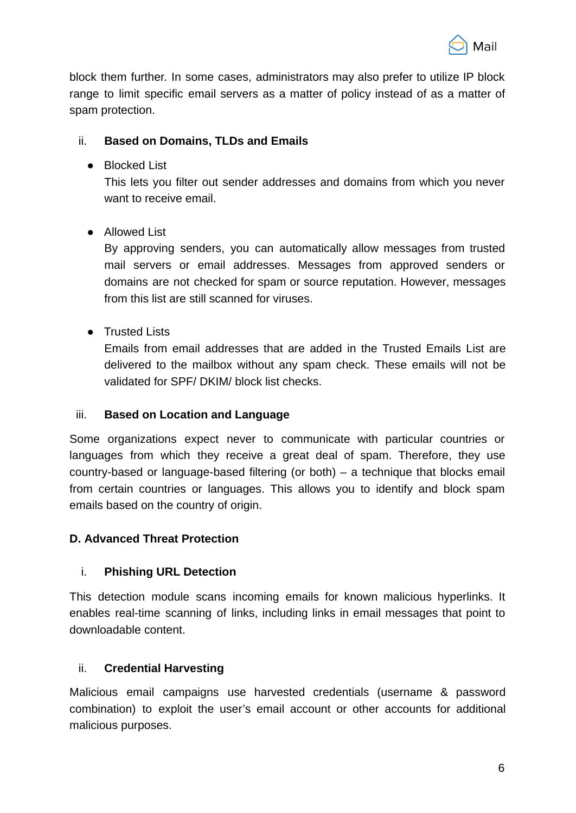

block them further. In some cases, administrators may also prefer to utilize IP block range to limit specific email servers as a matter of policy instead of as a matter of spam protection.

# ii. **Based on Domains, TLDs and Emails**

● Blocked List

This lets you filter out sender addresses and domains from which you never want to receive email.

● Allowed List

By approving senders, you can automatically allow messages from trusted mail servers or email addresses. Messages from approved senders or domains are not checked for spam or source reputation. However, messages from this list are still scanned for viruses.

● Trusted Lists

Emails from email addresses that are added in the Trusted Emails List are delivered to the mailbox without any spam check. These emails will not be validated for SPF/ DKIM/ block list checks.

# iii. **Based on Location and Language**

Some organizations expect never to communicate with particular countries or languages from which they receive a great deal of spam. Therefore, they use country-based or language-based filtering (or both) – a technique that blocks email from certain countries or languages. This allows you to identify and block spam emails based on the country of origin.

# **D. Advanced Threat Protection**

# i. **Phishing URL Detection**

This detection module scans incoming emails for known malicious hyperlinks. It enables real-time scanning of links, including links in email messages that point to downloadable content.

# ii. **Credential Harvesting**

Malicious email campaigns use harvested credentials (username & password combination) to exploit the user's email account or other accounts for additional malicious purposes.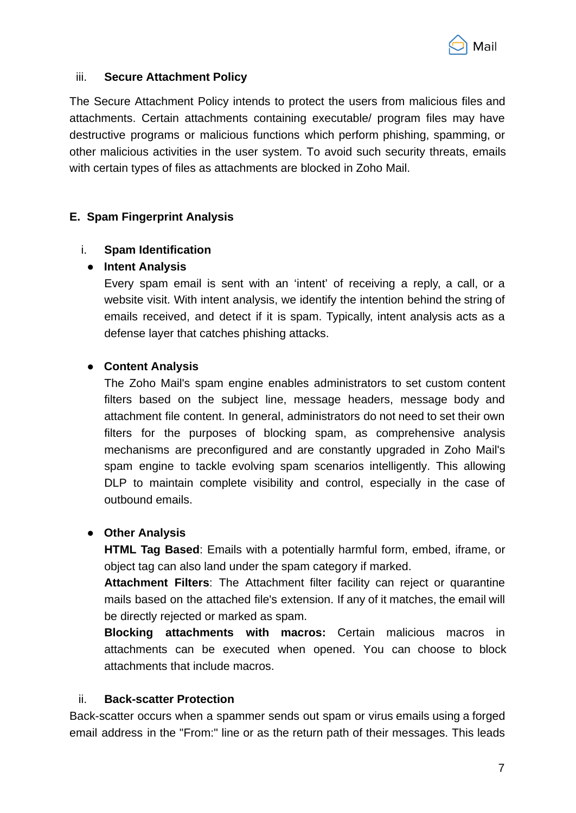

### iii. **Secure Attachment Policy**

The Secure Attachment Policy intends to protect the users from malicious files and attachments. Certain attachments containing executable/ program files may have destructive programs or malicious functions which perform phishing, spamming, or other malicious activities in the user system. To avoid such security threats, emails with certain types of files as attachments are blocked in Zoho Mail.

## **E. Spam Fingerprint Analysis**

## i. **Spam Identification**

#### ● **Intent Analysis**

Every spam email is sent with an 'intent' of receiving a reply, a call, or a website visit. With intent analysis, we identify the intention behind the string of emails received, and detect if it is spam. Typically, intent analysis acts as a defense layer that catches phishing attacks.

## ● **Content Analysis**

The Zoho Mail's spam engine enables administrators to set custom content filters based on the subject line, message headers, message body and attachment file content. In general, administrators do not need to set their own filters for the purposes of blocking spam, as comprehensive analysis mechanisms are preconfigured and are constantly upgraded in Zoho Mail's spam engine to tackle evolving spam scenarios intelligently. This allowing DLP to maintain complete visibility and control, especially in the case of outbound emails.

#### ● **Other Analysis**

**HTML Tag Based**: Emails with a potentially harmful form, embed, iframe, or object tag can also land under the spam category if marked.

**Attachment Filters**: The Attachment filter facility can reject or quarantine mails based on the attached file's extension. If any of it matches, the email will be directly rejected or marked as spam.

**Blocking attachments with macros:** Certain malicious macros in attachments can be executed when opened. You can choose to block attachments that include macros.

#### ii. **Back-scatter Protection**

Back-scatter occurs when a spammer sends out spam or virus emails using a forged email address in the "From:" line or as the return path of their messages. This leads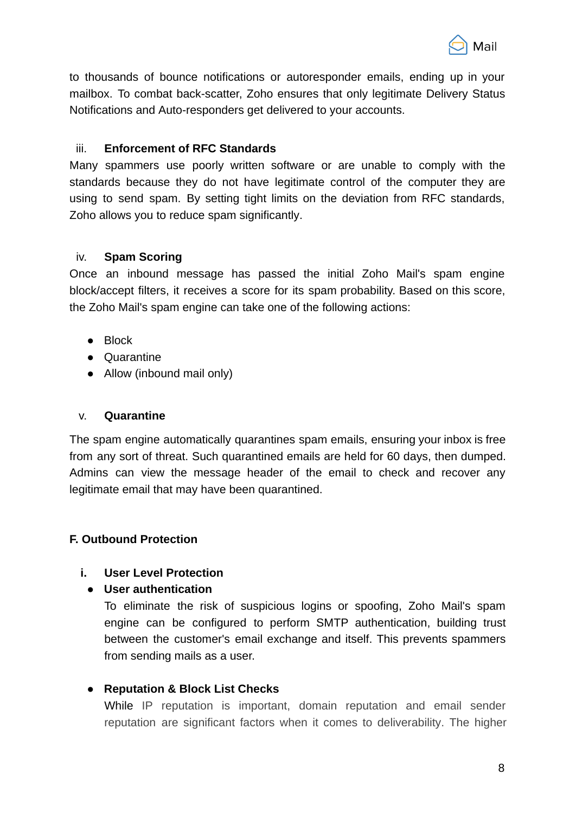

to thousands of bounce notifications or autoresponder emails, ending up in your mailbox. To combat back-scatter, Zoho ensures that only legitimate Delivery Status Notifications and Auto-responders get delivered to your accounts.

## iii. **Enforcement of RFC Standards**

Many spammers use poorly written software or are unable to comply with the standards because they do not have legitimate control of the computer they are using to send spam. By setting tight limits on the deviation from RFC standards, Zoho allows you to reduce spam significantly.

## iv. **Spam Scoring**

Once an inbound message has passed the initial Zoho Mail's spam engine block/accept filters, it receives a score for its spam probability. Based on this score, the Zoho Mail's spam engine can take one of the following actions:

- Block
- Quarantine
- Allow (inbound mail only)

#### v. **Quarantine**

The spam engine automatically quarantines spam emails, ensuring your inbox is free from any sort of threat. Such quarantined emails are held for 60 days, then dumped. Admins can view the message header of the email to check and recover any legitimate email that may have been quarantined.

# **F. Outbound Protection**

# **i. User Level Protection**

# **● User authentication**

To eliminate the risk of suspicious logins or spoofing, Zoho Mail's spam engine can be configured to perform SMTP authentication, building trust between the customer's email exchange and itself. This prevents spammers from sending mails as a user.

# **● Reputation & Block List Checks**

While IP reputation is important, domain reputation and email sender reputation are significant factors when it comes to deliverability. The higher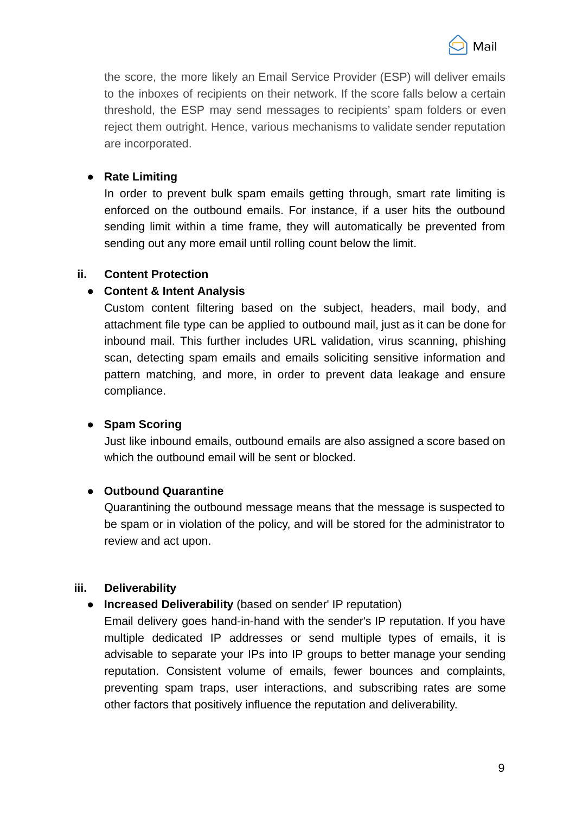

the score, the more likely an Email Service Provider (ESP) will deliver emails to the inboxes of recipients on their network. If the score falls below a certain threshold, the ESP may send messages to recipients' spam folders or even reject them outright. Hence, various mechanisms to validate sender reputation are incorporated.

## ● **Rate Limiting**

In order to prevent bulk spam emails getting through, smart rate limiting is enforced on the outbound emails. For instance, if a user hits the outbound sending limit within a time frame, they will automatically be prevented from sending out any more email until rolling count below the limit.

## **ii. Content Protection**

# **● Content & Intent Analysis**

Custom content filtering based on the subject, headers, mail body, and attachment file type can be applied to outbound mail, just as it can be done for inbound mail. This further includes URL validation, virus scanning, phishing scan, detecting spam emails and emails soliciting sensitive information and pattern matching, and more, in order to prevent data leakage and ensure compliance.

# **● Spam Scoring**

Just like inbound emails, outbound emails are also assigned a score based on which the outbound email will be sent or blocked.

# ● **Outbound Quarantine**

Quarantining the outbound message means that the message is suspected to be spam or in violation of the policy, and will be stored for the administrator to review and act upon.

#### **iii. Deliverability**

# ● **Increased Deliverability** (based on sender' IP reputation)

Email delivery goes hand-in-hand with the sender's IP reputation. If you have multiple dedicated IP addresses or send multiple types of emails, it is advisable to separate your IPs into IP groups to better manage your sending reputation. Consistent volume of emails, fewer bounces and complaints, preventing spam traps, user interactions, and subscribing rates are some other factors that positively influence the reputation and deliverability.